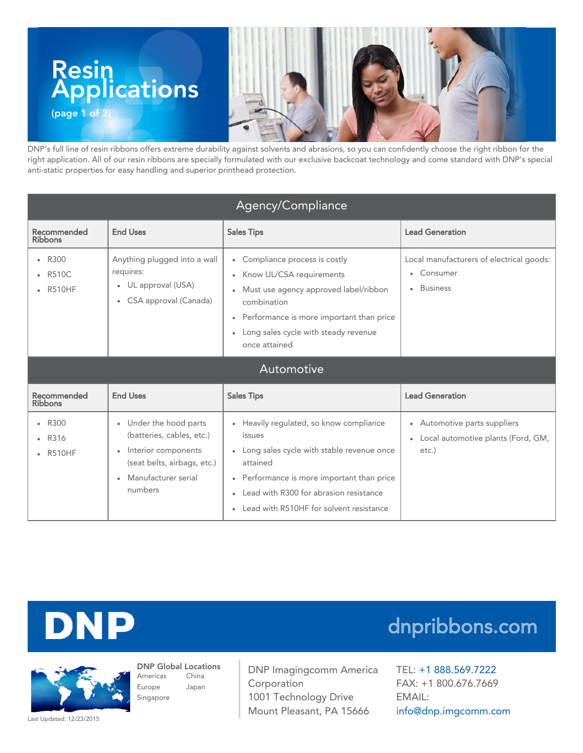

DNP's full line of resin ribbons offers extreme durability against solvents and abrasions, so you can confidently choose the right ribbon for the right application. All of our resin ribbons are specially formulated with our exclusive backcoat technology and come standard with DNP's special anti-static properties for easy handling and superior printhead protection.

| Agency/Compliance                       |                                                                                                                                               |                                                                                                                                                                                                                                                                |                                                                                             |  |
|-----------------------------------------|-----------------------------------------------------------------------------------------------------------------------------------------------|----------------------------------------------------------------------------------------------------------------------------------------------------------------------------------------------------------------------------------------------------------------|---------------------------------------------------------------------------------------------|--|
| Recommended<br><b>Ribbons</b>           | <b>End Uses</b>                                                                                                                               | <b>Sales Tips</b>                                                                                                                                                                                                                                              | <b>Lead Generation</b>                                                                      |  |
| • R300<br><b>R510C</b><br><b>R510HF</b> | Anything plugged into a wall<br>requires:<br>• UL approval (USA)<br>• CSA approval (Canada)                                                   | • Compliance process is costly<br>• Know UL/CSA requirements<br>• Must use agency approved label/ribbon<br>combination<br>Performance is more important than price<br>$\bullet$<br>• Long sales cycle with steady revenue<br>once attained                     | Local manufacturers of electrical goods:<br>• Consumer<br><b>Business</b><br>٠              |  |
| Automotive                              |                                                                                                                                               |                                                                                                                                                                                                                                                                |                                                                                             |  |
| Recommended<br><b>Ribbons</b>           | <b>End Uses</b>                                                                                                                               | <b>Sales Tips</b>                                                                                                                                                                                                                                              | <b>Lead Generation</b>                                                                      |  |
| $\cdot$ R300<br>R316<br><b>R510HF</b>   | • Under the hood parts<br>(batteries, cables, etc.)<br>• Interior components<br>(seat belts, airbags, etc.)<br>Manufacturer serial<br>numbers | • Heavily regulated, so know compliance<br>issues<br>• Long sales cycle with stable revenue once<br>attained<br>• Performance is more important than price<br>• Lead with R300 for abrasion resistance<br>Lead with R510HF for solvent resistance<br>$\bullet$ | • Automotive parts suppliers<br>Local automotive plants (Ford, GM,<br>$\bullet$<br>$etc.$ ) |  |



## dnpribbons.com

DNP Global Locations Americas Europe Singapore China Japan

DNP Imagingcomm America Corporation 1001 Technology Drive Mount Pleasant, PA 15666

TEL: +1 [888.569.7222](tel:1.888.569.7222) FAX: +1 800.676.7669 EMAIL: [info@dnp.imgcomm.com](mailto:info@dnp.imgcomm.com)

Last Updated: 12/23/2015